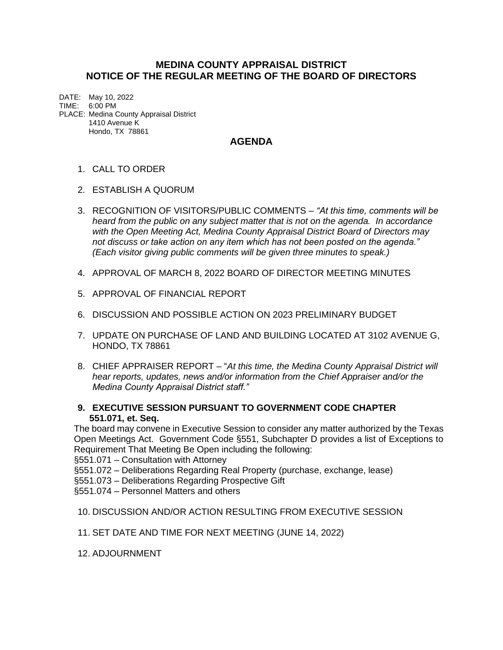## **MEDINA COUNTY APPRAISAL DISTRICT NOTICE OF THE REGULAR MEETING OF THE BOARD OF DIRECTORS**

DATE: May 10, 2022 TIME: 6:00 PM PLACE: Medina County Appraisal District 1410 Avenue K Hondo, TX 78861

## **AGENDA**

## 1. CALL TO ORDER

- 2. ESTABLISH A QUORUM
- 3. RECOGNITION OF VISITORS/PUBLIC COMMENTS *"At this time, comments will be heard from the public on any subject matter that is not on the agenda. In accordance with the Open Meeting Act, Medina County Appraisal District Board of Directors may not discuss or take action on any item which has not been posted on the agenda." (Each visitor giving public comments will be given three minutes to speak.)*
- 4. APPROVAL OF MARCH 8, 2022 BOARD OF DIRECTOR MEETING MINUTES
- 5. APPROVAL OF FINANCIAL REPORT
- 6. DISCUSSION AND POSSIBLE ACTION ON 2023 PRELIMINARY BUDGET
- 7. UPDATE ON PURCHASE OF LAND AND BUILDING LOCATED AT 3102 AVENUE G, HONDO, TX 78861
- 8. CHIEF APPRAISER REPORT "*At this time, the Medina County Appraisal District will hear reports, updates, news and/or information from the Chief Appraiser and/or the Medina County Appraisal District staff."*
- **9. EXECUTIVE SESSION PURSUANT TO GOVERNMENT CODE CHAPTER 551.071, et. Seq.**

The board may convene in Executive Session to consider any matter authorized by the Texas Open Meetings Act. Government Code §551, Subchapter D provides a list of Exceptions to Requirement That Meeting Be Open including the following:

§551.071 – Consultation with Attorney

§551.072 – Deliberations Regarding Real Property (purchase, exchange, lease)

§551.073 – Deliberations Regarding Prospective Gift

§551.074 – Personnel Matters and others

10. DISCUSSION AND/OR ACTION RESULTING FROM EXECUTIVE SESSION

11. SET DATE AND TIME FOR NEXT MEETING (JUNE 14, 2022)

12. ADJOURNMENT